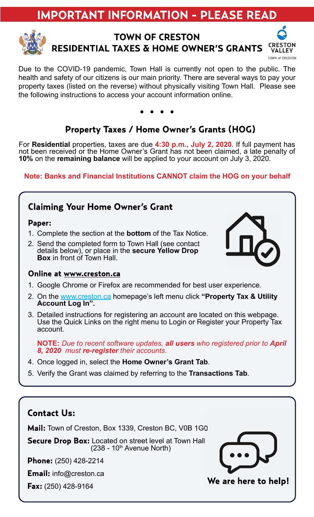# **IMPORTANT INFORMATION - PLEASE READ**



# **TOWN OF CRESTON RESIDENTIAL TAXES & HOME OWNER'S GRANTS**



Due to the COVID-19 pandemic, Town Hall is currently not open to the public. The health and safety of our citizens is our main priority. There are several ways to pay your property taxes (listed on the reverse) without physically visiting Town Hall. Please see the following instructions to access your account information online.

# Property Taxes / Home Owner's Grants (HOG)

For Residential properties, taxes are due 4:30 p.m., July 2, 2020. If full payment has not been received or the Home Owner's Grant has not been claimed, a late penalty of 10% on the remaining balance will be applied to your account on July 3, 2020.

#### Note: Banks and Financial Institutions CANNOT claim the HOG on your behalf

### **Claiming Your Home Owner's Grant**

#### Paper:

- 1. Complete the section at the **bottom** of the Tax Notice.
- 2. Send the completed form to Town Hall (see contact details below), or place in the **secure Yellow Drop** Box in front of Town Hall.



- 1. Google Chrome or Firefox are recommended for best user experience.
- 2. On the www.creston.ca homepage's left menu click "Property Tax & Utility Account Log In".
- 3. Detailed instructions for registering an account are located on this webpage. Use the Quick Links on the right menu to Login or Register your Property Tax account.

NOTE: Due to recent software updates, all users who registered prior to April 8, 2020 must re-register their accounts.

- 4. Once logged in, select the Home Owner's Grant Tab.
- 5. Verify the Grant was claimed by referring to the Transactions Tab.

# **Contact Us:** Mail: Town of Creston, Box 1339, Creston BC, V0B 1G0 **Secure Drop Box:** Located on street level at Town Hall  $(238 - 10^{th}$  Avenue North) **Phone:** (250) 428-2214 **Email:** info@creston.ca We are here to help! **Fax:** (250) 428-9164